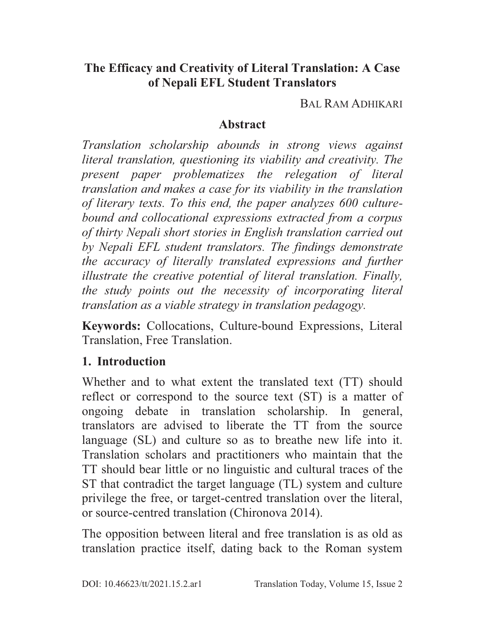#### **The Efficacy and Creativity of Literal Translation: A Case of Nepali EFL Student Translators**

BAL RAM ADHIKARI

#### **Abstract**

*Translation scholarship abounds in strong views against literal translation, questioning its viability and creativity. The present paper problematizes the relegation of literal translation and makes a case for its viability in the translation of literary texts. To this end, the paper analyzes 600 culturebound and collocational expressions extracted from a corpus of thirty Nepali short stories in English translation carried out by Nepali EFL student translators. The findings demonstrate the accuracy of literally translated expressions and further illustrate the creative potential of literal translation. Finally, the study points out the necessity of incorporating literal translation as a viable strategy in translation pedagogy.* 

**Keywords:** Collocations, Culture-bound Expressions, Literal Translation, Free Translation.

## **1. Introduction**

Whether and to what extent the translated text (TT) should reflect or correspond to the source text (ST) is a matter of ongoing debate in translation scholarship. In general, translators are advised to liberate the TT from the source language (SL) and culture so as to breathe new life into it. Translation scholars and practitioners who maintain that the TT should bear little or no linguistic and cultural traces of the ST that contradict the target language (TL) system and culture privilege the free, or target-centred translation over the literal, or source-centred translation (Chironova 2014).

The opposition between literal and free translation is as old as translation practice itself, dating back to the Roman system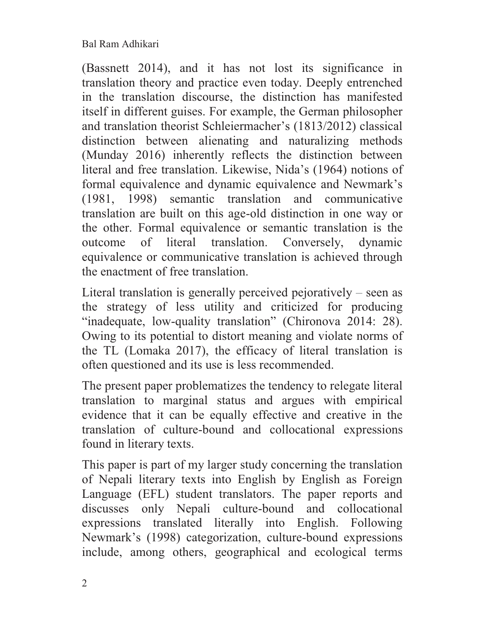(Bassnett 2014), and it has not lost its significance in translation theory and practice even today. Deeply entrenched in the translation discourse, the distinction has manifested itself in different guises. For example, the German philosopher and translation theorist Schleiermacher's (1813/2012) classical distinction between alienating and naturalizing methods (Munday 2016) inherently reflects the distinction between literal and free translation. Likewise, Nida's (1964) notions of formal equivalence and dynamic equivalence and Newmark's (1981, 1998) semantic translation and communicative translation are built on this age-old distinction in one way or the other. Formal equivalence or semantic translation is the outcome of literal translation. Conversely, dynamic equivalence or communicative translation is achieved through the enactment of free translation.

Literal translation is generally perceived pejoratively – seen as the strategy of less utility and criticized for producing "inadequate, low-quality translation" (Chironova 2014: 28). Owing to its potential to distort meaning and violate norms of the TL (Lomaka 2017), the efficacy of literal translation is often questioned and its use is less recommended.

The present paper problematizes the tendency to relegate literal translation to marginal status and argues with empirical evidence that it can be equally effective and creative in the translation of culture-bound and collocational expressions found in literary texts.

This paper is part of my larger study concerning the translation of Nepali literary texts into English by English as Foreign Language (EFL) student translators. The paper reports and discusses only Nepali culture-bound and collocational expressions translated literally into English. Following Newmark's (1998) categorization, culture-bound expressions include, among others, geographical and ecological terms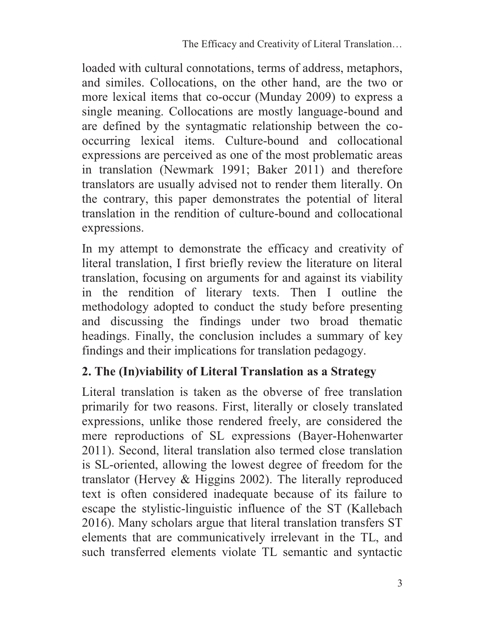loaded with cultural connotations, terms of address, metaphors, and similes. Collocations, on the other hand, are the two or more lexical items that co-occur (Munday 2009) to express a single meaning. Collocations are mostly language-bound and are defined by the syntagmatic relationship between the cooccurring lexical items. Culture-bound and collocational expressions are perceived as one of the most problematic areas in translation (Newmark 1991; Baker 2011) and therefore translators are usually advised not to render them literally. On the contrary, this paper demonstrates the potential of literal translation in the rendition of culture-bound and collocational expressions.

In my attempt to demonstrate the efficacy and creativity of literal translation, I first briefly review the literature on literal translation, focusing on arguments for and against its viability in the rendition of literary texts. Then I outline the methodology adopted to conduct the study before presenting and discussing the findings under two broad thematic headings. Finally, the conclusion includes a summary of key findings and their implications for translation pedagogy.

## **2. The (In)viability of Literal Translation as a Strategy**

Literal translation is taken as the obverse of free translation primarily for two reasons. First, literally or closely translated expressions, unlike those rendered freely, are considered the mere reproductions of SL expressions (Bayer-Hohenwarter 2011). Second, literal translation also termed close translation is SL-oriented, allowing the lowest degree of freedom for the translator (Hervey & Higgins 2002). The literally reproduced text is often considered inadequate because of its failure to escape the stylistic-linguistic influence of the ST (Kallebach 2016). Many scholars argue that literal translation transfers ST elements that are communicatively irrelevant in the TL, and such transferred elements violate TL semantic and syntactic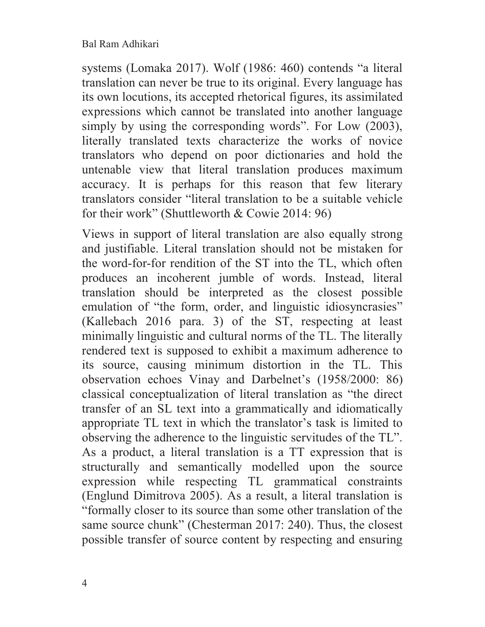systems (Lomaka 2017). Wolf (1986: 460) contends "a literal translation can never be true to its original. Every language has its own locutions, its accepted rhetorical figures, its assimilated expressions which cannot be translated into another language simply by using the corresponding words". For Low (2003), literally translated texts characterize the works of novice translators who depend on poor dictionaries and hold the untenable view that literal translation produces maximum accuracy. It is perhaps for this reason that few literary translators consider "literal translation to be a suitable vehicle for their work" (Shuttleworth & Cowie 2014: 96)

Views in support of literal translation are also equally strong and justifiable. Literal translation should not be mistaken for the word-for-for rendition of the ST into the TL, which often produces an incoherent jumble of words. Instead, literal translation should be interpreted as the closest possible emulation of "the form, order, and linguistic idiosyncrasies" (Kallebach 2016 para. 3) of the ST, respecting at least minimally linguistic and cultural norms of the TL. The literally rendered text is supposed to exhibit a maximum adherence to its source, causing minimum distortion in the TL. This observation echoes Vinay and Darbelnet's (1958/2000: 86) classical conceptualization of literal translation as "the direct transfer of an SL text into a grammatically and idiomatically appropriate TL text in which the translator's task is limited to observing the adherence to the linguistic servitudes of the TL". As a product, a literal translation is a TT expression that is structurally and semantically modelled upon the source expression while respecting TL grammatical constraints (Englund Dimitrova 2005). As a result, a literal translation is "formally closer to its source than some other translation of the same source chunk" (Chesterman 2017: 240). Thus, the closest possible transfer of source content by respecting and ensuring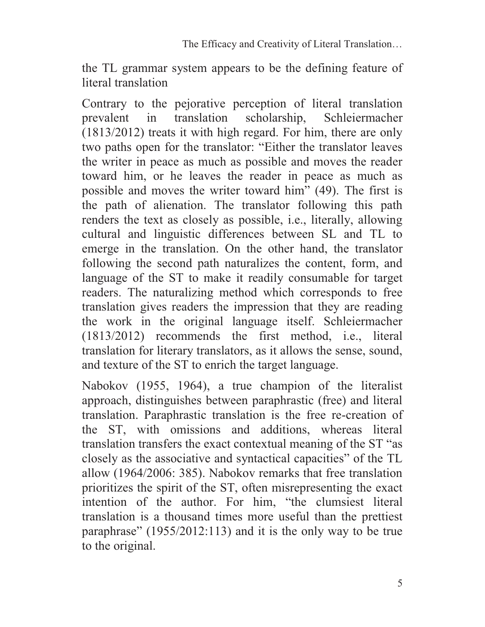the TL grammar system appears to be the defining feature of literal translation

Contrary to the pejorative perception of literal translation prevalent in translation scholarship, Schleiermacher (1813/2012) treats it with high regard. For him, there are only two paths open for the translator: "Either the translator leaves the writer in peace as much as possible and moves the reader toward him, or he leaves the reader in peace as much as possible and moves the writer toward him" (49). The first is the path of alienation. The translator following this path renders the text as closely as possible, i.e., literally, allowing cultural and linguistic differences between SL and TL to emerge in the translation. On the other hand, the translator following the second path naturalizes the content, form, and language of the ST to make it readily consumable for target readers. The naturalizing method which corresponds to free translation gives readers the impression that they are reading the work in the original language itself. Schleiermacher (1813/2012) recommends the first method, i.e., literal translation for literary translators, as it allows the sense, sound, and texture of the ST to enrich the target language.

Nabokov (1955, 1964), a true champion of the literalist approach, distinguishes between paraphrastic (free) and literal translation. Paraphrastic translation is the free re-creation of the ST, with omissions and additions, whereas literal translation transfers the exact contextual meaning of the ST "as closely as the associative and syntactical capacities" of the TL allow (1964/2006: 385). Nabokov remarks that free translation prioritizes the spirit of the ST, often misrepresenting the exact intention of the author. For him, "the clumsiest literal translation is a thousand times more useful than the prettiest paraphrase" (1955/2012:113) and it is the only way to be true to the original.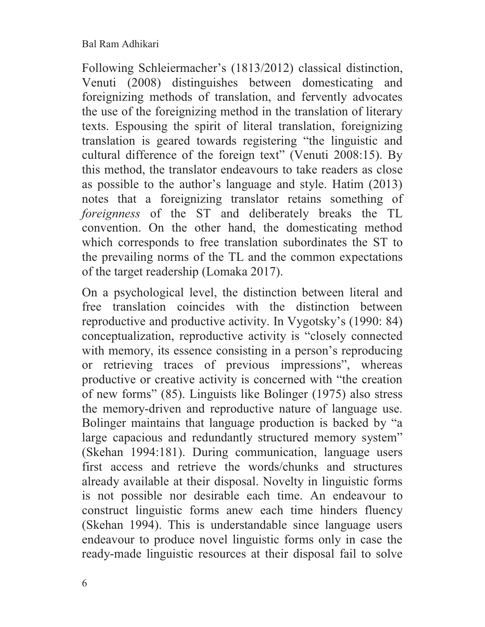Following Schleiermacher's (1813/2012) classical distinction, Venuti (2008) distinguishes between domesticating and foreignizing methods of translation, and fervently advocates the use of the foreignizing method in the translation of literary texts. Espousing the spirit of literal translation, foreignizing translation is geared towards registering "the linguistic and cultural difference of the foreign text" (Venuti 2008:15). By this method, the translator endeavours to take readers as close as possible to the author's language and style. Hatim (2013) notes that a foreignizing translator retains something of *foreignness* of the ST and deliberately breaks the TL convention. On the other hand, the domesticating method which corresponds to free translation subordinates the ST to the prevailing norms of the TL and the common expectations of the target readership (Lomaka 2017).

On a psychological level, the distinction between literal and free translation coincides with the distinction between reproductive and productive activity. In Vygotsky's (1990: 84) conceptualization, reproductive activity is "closely connected with memory, its essence consisting in a person's reproducing or retrieving traces of previous impressions", whereas productive or creative activity is concerned with "the creation of new forms" (85). Linguists like Bolinger (1975) also stress the memory-driven and reproductive nature of language use. Bolinger maintains that language production is backed by "a large capacious and redundantly structured memory system" (Skehan 1994:181). During communication, language users first access and retrieve the words/chunks and structures already available at their disposal. Novelty in linguistic forms is not possible nor desirable each time. An endeavour to construct linguistic forms anew each time hinders fluency (Skehan 1994). This is understandable since language users endeavour to produce novel linguistic forms only in case the ready-made linguistic resources at their disposal fail to solve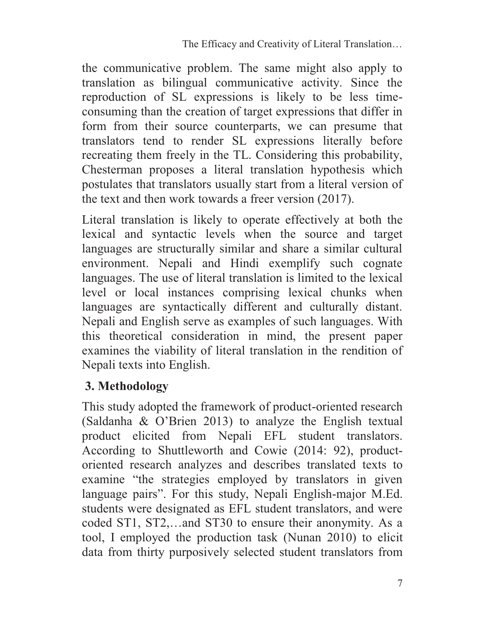the communicative problem. The same might also apply to translation as bilingual communicative activity. Since the reproduction of SL expressions is likely to be less timeconsuming than the creation of target expressions that differ in form from their source counterparts, we can presume that translators tend to render SL expressions literally before recreating them freely in the TL. Considering this probability, Chesterman proposes a literal translation hypothesis which postulates that translators usually start from a literal version of the text and then work towards a freer version (2017).

Literal translation is likely to operate effectively at both the lexical and syntactic levels when the source and target languages are structurally similar and share a similar cultural environment. Nepali and Hindi exemplify such cognate languages. The use of literal translation is limited to the lexical level or local instances comprising lexical chunks when languages are syntactically different and culturally distant. Nepali and English serve as examples of such languages. With this theoretical consideration in mind, the present paper examines the viability of literal translation in the rendition of Nepali texts into English.

#### **3. Methodology**

This study adopted the framework of product-oriented research (Saldanha & O'Brien 2013) to analyze the English textual product elicited from Nepali EFL student translators. According to Shuttleworth and Cowie (2014: 92), productoriented research analyzes and describes translated texts to examine "the strategies employed by translators in given language pairs". For this study, Nepali English-major M.Ed. students were designated as EFL student translators, and were coded ST1, ST2,…and ST30 to ensure their anonymity. As a tool, I employed the production task (Nunan 2010) to elicit data from thirty purposively selected student translators from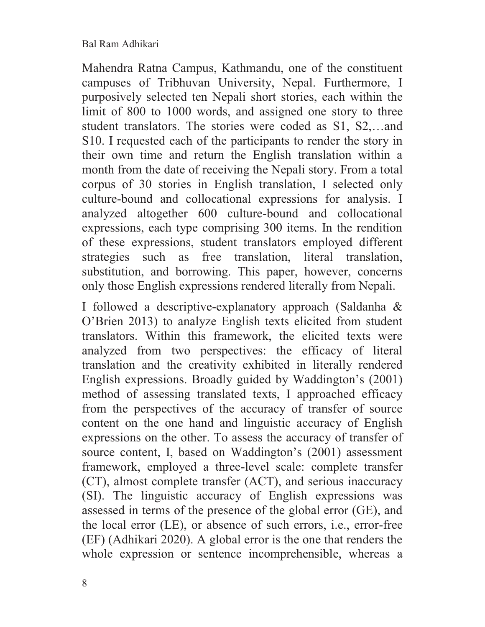Mahendra Ratna Campus, Kathmandu, one of the constituent campuses of Tribhuvan University, Nepal. Furthermore, I purposively selected ten Nepali short stories, each within the limit of 800 to 1000 words, and assigned one story to three student translators. The stories were coded as S1, S2,…and S10. I requested each of the participants to render the story in their own time and return the English translation within a month from the date of receiving the Nepali story. From a total corpus of 30 stories in English translation, I selected only culture-bound and collocational expressions for analysis. I analyzed altogether 600 culture-bound and collocational expressions, each type comprising 300 items. In the rendition of these expressions, student translators employed different strategies such as free translation, literal translation, substitution, and borrowing. This paper, however, concerns only those English expressions rendered literally from Nepali.

I followed a descriptive-explanatory approach (Saldanha & O'Brien 2013) to analyze English texts elicited from student translators. Within this framework, the elicited texts were analyzed from two perspectives: the efficacy of literal translation and the creativity exhibited in literally rendered English expressions. Broadly guided by Waddington's (2001) method of assessing translated texts, I approached efficacy from the perspectives of the accuracy of transfer of source content on the one hand and linguistic accuracy of English expressions on the other. To assess the accuracy of transfer of source content, I, based on Waddington's (2001) assessment framework, employed a three-level scale: complete transfer (CT), almost complete transfer (ACT), and serious inaccuracy (SI). The linguistic accuracy of English expressions was assessed in terms of the presence of the global error (GE), and the local error (LE), or absence of such errors, i.e., error-free (EF) (Adhikari 2020). A global error is the one that renders the whole expression or sentence incomprehensible, whereas a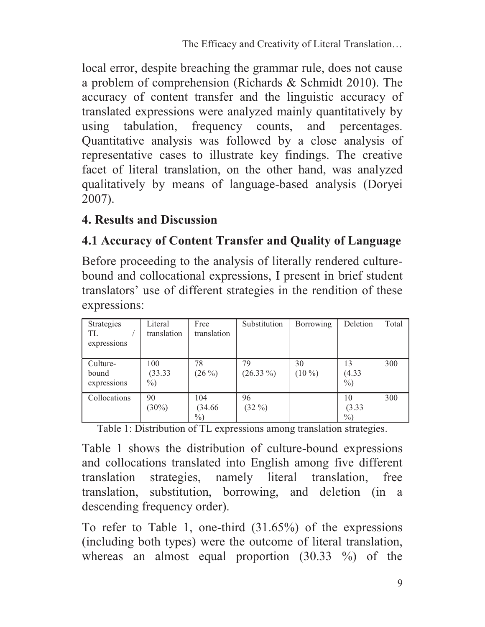local error, despite breaching the grammar rule, does not cause a problem of comprehension (Richards & Schmidt 2010). The accuracy of content transfer and the linguistic accuracy of translated expressions were analyzed mainly quantitatively by using tabulation, frequency counts, and percentages. Quantitative analysis was followed by a close analysis of representative cases to illustrate key findings. The creative facet of literal translation, on the other hand, was analyzed qualitatively by means of language-based analysis (Doryei 2007).

#### **4. Results and Discussion**

## **4.1 Accuracy of Content Transfer and Quality of Language**

Before proceeding to the analysis of literally rendered culturebound and collocational expressions, I present in brief student translators' use of different strategies in the rendition of these expressions:

| Strategies<br>TL<br>expressions  | Literal<br>translation | Free<br>translation    | Substitution            | Borrowing      | Deletion             | Total |
|----------------------------------|------------------------|------------------------|-------------------------|----------------|----------------------|-------|
| Culture-<br>bound<br>expressions | 100<br>(33.33)<br>$\%$ | 78<br>$(26\%)$         | 79<br>$(26.33\%)$       | 30<br>$(10\%)$ | 13<br>(4.33)<br>$\%$ | 300   |
| Collocations                     | 90<br>$(30\%)$         | 104<br>(34.66)<br>$\%$ | 96<br>$(32\frac{9}{0})$ |                | 10<br>(3.33)<br>$\%$ | 300   |

Table 1: Distribution of TL expressions among translation strategies.

Table 1 shows the distribution of culture-bound expressions and collocations translated into English among five different translation strategies, namely literal translation, free translation, substitution, borrowing, and deletion (in a descending frequency order).

To refer to Table 1, one-third (31.65%) of the expressions (including both types) were the outcome of literal translation, whereas an almost equal proportion (30.33 %) of the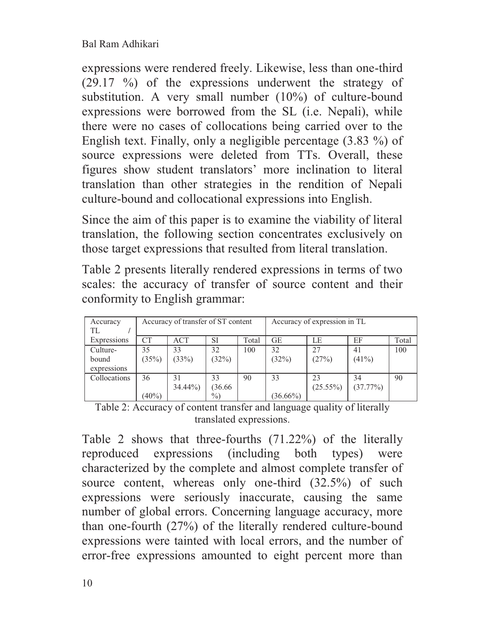expressions were rendered freely. Likewise, less than one-third (29.17 %) of the expressions underwent the strategy of substitution. A very small number (10%) of culture-bound expressions were borrowed from the SL (i.e. Nepali), while there were no cases of collocations being carried over to the English text. Finally, only a negligible percentage (3.83 %) of source expressions were deleted from TTs. Overall, these figures show student translators' more inclination to literal translation than other strategies in the rendition of Nepali culture-bound and collocational expressions into English.

Since the aim of this paper is to examine the viability of literal translation, the following section concentrates exclusively on those target expressions that resulted from literal translation.

Table 2 presents literally rendered expressions in terms of two scales: the accuracy of transfer of source content and their conformity to English grammar:

| Accuracy<br>TL                   | Accuracy of transfer of ST content |                 |                       | Accuracy of expression in TL |                   |                   |                |       |
|----------------------------------|------------------------------------|-----------------|-----------------------|------------------------------|-------------------|-------------------|----------------|-------|
| Expressions                      | CT                                 | ACT             | SI                    | Total                        | <b>GE</b>         | LE                | EF             | Total |
| Culture-<br>bound<br>expressions | 35<br>(35%)                        | 33<br>(33%)     | 32<br>(32%)           | 100                          | 32<br>(32%)       | 27<br>(27%)       | 41<br>$(41\%)$ | 100   |
| Collocations                     | 36<br>$(40\%)$                     | 31<br>$34.44\%$ | 33<br>(36.66)<br>$\%$ | 90                           | 33<br>$(36.66\%)$ | 23<br>$(25.55\%)$ | 34<br>(37.77%) | 90    |

Table 2: Accuracy of content transfer and language quality of literally translated expressions.

Table 2 shows that three-fourths (71.22%) of the literally reproduced expressions (including both types) were characterized by the complete and almost complete transfer of source content, whereas only one-third (32.5%) of such expressions were seriously inaccurate, causing the same number of global errors. Concerning language accuracy, more than one-fourth (27%) of the literally rendered culture-bound expressions were tainted with local errors, and the number of error-free expressions amounted to eight percent more than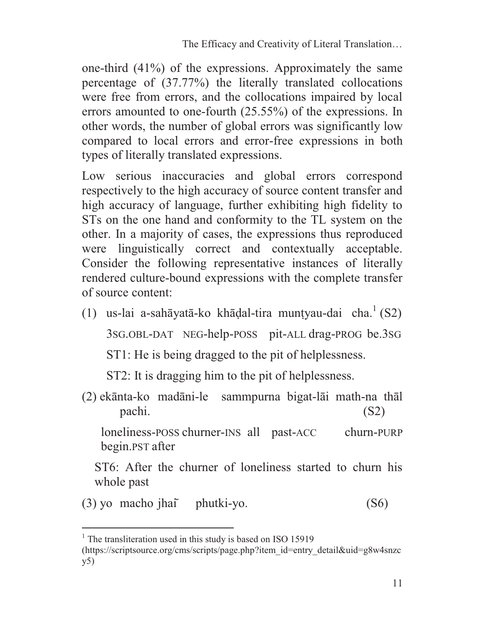one-third (41%) of the expressions. Approximately the same percentage of (37.77%) the literally translated collocations were free from errors, and the collocations impaired by local errors amounted to one-fourth (25.55%) of the expressions. In other words, the number of global errors was significantly low compared to local errors and error-free expressions in both types of literally translated expressions.

Low serious inaccuracies and global errors correspond respectively to the high accuracy of source content transfer and high accuracy of language, further exhibiting high fidelity to STs on the one hand and conformity to the TL system on the other. In a majority of cases, the expressions thus reproduced were linguistically correct and contextually acceptable. Consider the following representative instances of literally rendered culture-bound expressions with the complete transfer of source content:

- (1) us-lai a-sahāyatā-ko khādal-tira muntyau-dai cha.<sup>1</sup> (S2) 3SG.OBL-DAT NEG-help-POSS pit-ALL drag-PROG be.3SG ST1: He is being dragged to the pit of helplessness. ST2: It is dragging him to the pit of helplessness.
- (2) ekānta-ko madāni-le sammpurna bigat-lāi math-na thāl pachi. (S2)

loneliness-POSS churner-INS all past-ACC churn-PURP begin.PST after

ST6: After the churner of loneliness started to churn his whole past

(3) yo macho jhai phutki-yo. (S6)

 $\overline{a}$ 

<sup>&</sup>lt;sup>1</sup> The transliteration used in this study is based on ISO 15919

<sup>(</sup>https://scriptsource.org/cms/scripts/page.php?item\_id=entry\_detail&uid=g8w4snzc y5)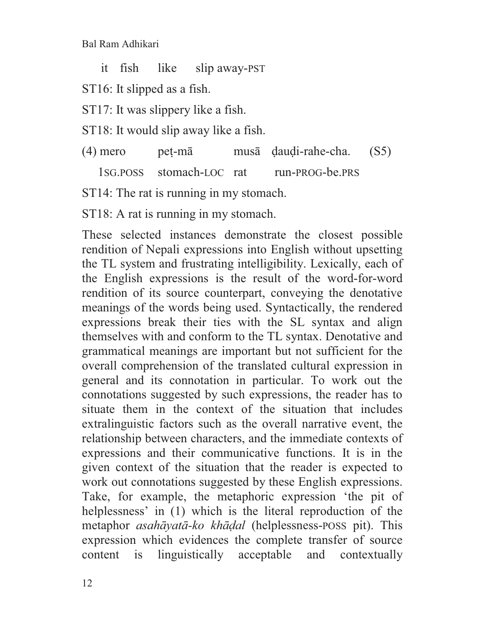it fish like slip away-PST

ST16: It slipped as a fish.

ST17: It was slippery like a fish.

ST18: It would slip away like a fish.

(4) mero peṭ-mā musā ḍauḍi-rahe-cha. (S5)

1SG.POSS stomach-LOC rat run-PROG-be.PRS

ST14: The rat is running in my stomach.

ST18: A rat is running in my stomach.

These selected instances demonstrate the closest possible rendition of Nepali expressions into English without upsetting the TL system and frustrating intelligibility. Lexically, each of the English expressions is the result of the word-for-word rendition of its source counterpart, conveying the denotative meanings of the words being used. Syntactically, the rendered expressions break their ties with the SL syntax and align themselves with and conform to the TL syntax. Denotative and grammatical meanings are important but not sufficient for the overall comprehension of the translated cultural expression in general and its connotation in particular. To work out the connotations suggested by such expressions, the reader has to situate them in the context of the situation that includes extralinguistic factors such as the overall narrative event, the relationship between characters, and the immediate contexts of expressions and their communicative functions. It is in the given context of the situation that the reader is expected to work out connotations suggested by these English expressions. Take, for example, the metaphoric expression 'the pit of helplessness' in (1) which is the literal reproduction of the metaphor *asahāyatā-ko khāḍal* (helplessness-POSS pit). This expression which evidences the complete transfer of source content is linguistically acceptable and contextually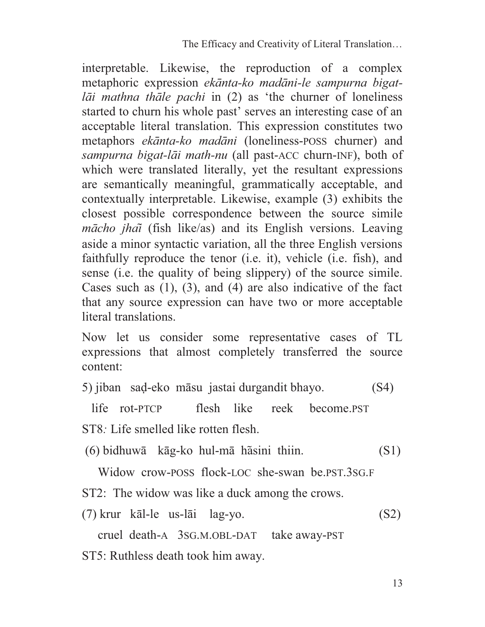interpretable. Likewise, the reproduction of a complex metaphoric expression *ekānta-ko madāni-le sampurna bigatlāi mathna thāle pachi* in (2) as 'the churner of loneliness started to churn his whole past' serves an interesting case of an acceptable literal translation. This expression constitutes two metaphors *ekānta-ko madāni* (loneliness-POSS churner) and *sampurna bigat-lāi math-nu* (all past-ACC churn-INF), both of which were translated literally, yet the resultant expressions are semantically meaningful, grammatically acceptable, and contextually interpretable. Likewise, example (3) exhibits the closest possible correspondence between the source simile *mācho jhai* (fish like/as) and its English versions. Leaving aside a minor syntactic variation, all the three English versions faithfully reproduce the tenor (i.e. it), vehicle (i.e. fish), and sense (i.e. the quality of being slippery) of the source simile. Cases such as  $(1)$ ,  $(3)$ , and  $(4)$  are also indicative of the fact that any source expression can have two or more acceptable literal translations.

Now let us consider some representative cases of TL expressions that almost completely transferred the source content:

5) jiban saḍ-eko māsu jastai durgandit bhayo. (S4)

life rot-PTCP flesh like reek become.PST

ST8*:* Life smelled like rotten flesh.

 $(6)$  bidhuwā kāg-ko hul-mā hāsini thiin. (S1)

Widow crow-POSS flock-LOC she-swan be.PST.3SG.F

ST2: The widow was like a duck among the crows.

(7) krur kāl-le us-lāi lag-yo. (S2)

cruel death-A 3SG.M.OBL-DAT take away-PST

ST5: Ruthless death took him away.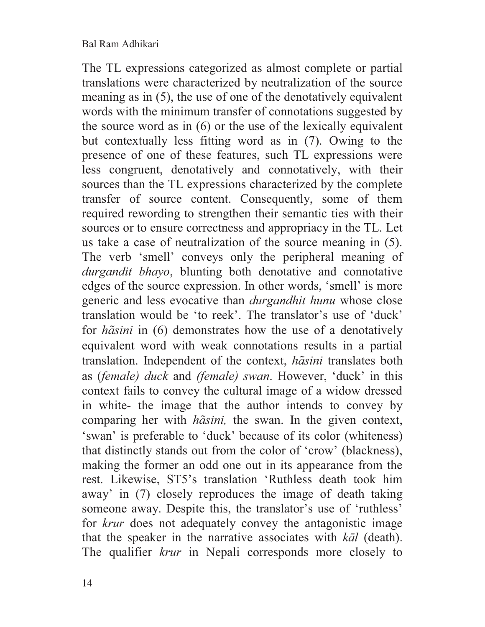The TL expressions categorized as almost complete or partial translations were characterized by neutralization of the source meaning as in (5), the use of one of the denotatively equivalent words with the minimum transfer of connotations suggested by the source word as in (6) or the use of the lexically equivalent but contextually less fitting word as in (7). Owing to the presence of one of these features, such TL expressions were less congruent, denotatively and connotatively, with their sources than the TL expressions characterized by the complete transfer of source content. Consequently, some of them required rewording to strengthen their semantic ties with their sources or to ensure correctness and appropriacy in the TL. Let us take a case of neutralization of the source meaning in (5). The verb 'smell' conveys only the peripheral meaning of *durgandit bhayo*, blunting both denotative and connotative edges of the source expression. In other words, 'smell' is more generic and less evocative than *durgandhit hunu* whose close translation would be 'to reek'. The translator's use of 'duck' for *hasini* in (6) demonstrates how the use of a denotatively equivalent word with weak connotations results in a partial translation. Independent of the context, *hasini* translates both as (*female) duck* and *(female) swan*. However, 'duck' in this context fails to convey the cultural image of a widow dressed in white- the image that the author intends to convey by comparing her with *ha*<sup>sini</sup>, the swan. In the given context, 'swan' is preferable to 'duck' because of its color (whiteness) that distinctly stands out from the color of 'crow' (blackness), making the former an odd one out in its appearance from the rest. Likewise, ST5's translation 'Ruthless death took him away' in (7) closely reproduces the image of death taking someone away. Despite this, the translator's use of 'ruthless' for *krur* does not adequately convey the antagonistic image that the speaker in the narrative associates with *kāl* (death). The qualifier *krur* in Nepali corresponds more closely to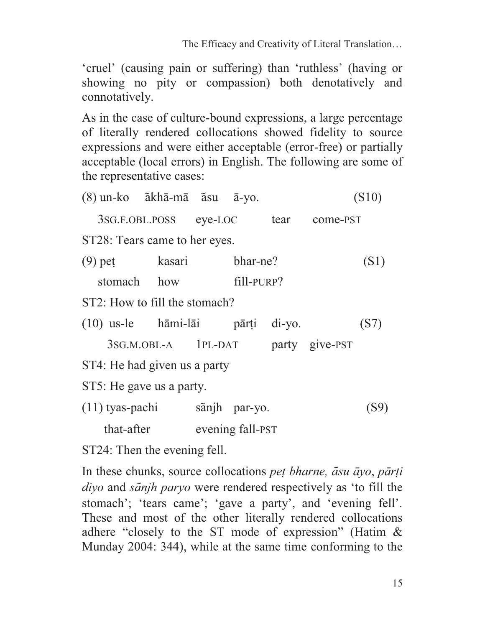'cruel' (causing pain or suffering) than 'ruthless' (having or showing no pity or compassion) both denotatively and connotatively.

As in the case of culture-bound expressions, a large percentage of literally rendered collocations showed fidelity to source expressions and were either acceptable (error-free) or partially acceptable (local errors) in English. The following are some of the representative cases:

 $(8)$  un-ko  $\tilde{a}$ khā-mā  $\tilde{a}$ su  $\bar{a}$ -yo. (S10)

3SG.F.OBL.POSS eye-LOC tear come-PST

ST28: Tears came to her eyes.

- (9) peṭ kasari bhar-ne? (S1)
	- stomach how fill-PURP?
- ST2: How to fill the stomach?
- (10) us-le hāmi-lāi pārṭi di-yo. (S7)

| 3SG.M.OBL-A | $1PL-DAT$ |  | party give-PST |
|-------------|-----------|--|----------------|
|-------------|-----------|--|----------------|

ST4: He had given us a party

ST5: He gave us a party.

(11) tyas-pachi sanjh par-yo. (S9)

that-after evening fall-PST

ST24: Then the evening fell.

In these chunks, source collocations *peṭ bharne, asu āyo*, *pārṭi diyo* and *sanjh paryo* were rendered respectively as 'to fill the stomach'; 'tears came'; 'gave a party', and 'evening fell'. These and most of the other literally rendered collocations adhere "closely to the ST mode of expression" (Hatim & Munday 2004: 344), while at the same time conforming to the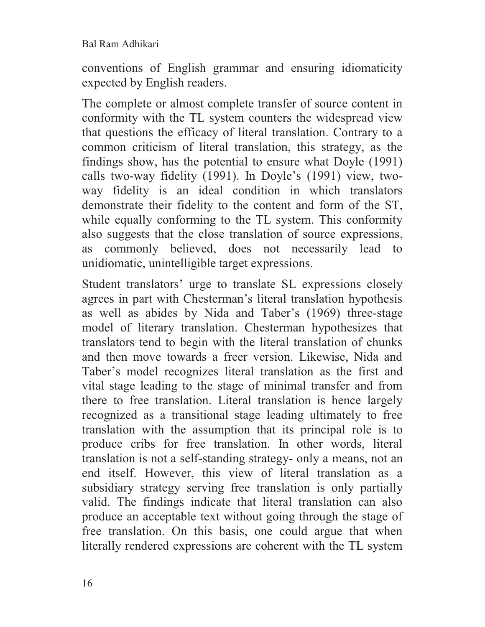conventions of English grammar and ensuring idiomaticity expected by English readers.

The complete or almost complete transfer of source content in conformity with the TL system counters the widespread view that questions the efficacy of literal translation. Contrary to a common criticism of literal translation, this strategy, as the findings show, has the potential to ensure what Doyle (1991) calls two-way fidelity (1991). In Doyle's (1991) view, twoway fidelity is an ideal condition in which translators demonstrate their fidelity to the content and form of the ST, while equally conforming to the TL system. This conformity also suggests that the close translation of source expressions, as commonly believed, does not necessarily lead to unidiomatic, unintelligible target expressions.

Student translators' urge to translate SL expressions closely agrees in part with Chesterman's literal translation hypothesis as well as abides by Nida and Taber's (1969) three-stage model of literary translation. Chesterman hypothesizes that translators tend to begin with the literal translation of chunks and then move towards a freer version. Likewise, Nida and Taber's model recognizes literal translation as the first and vital stage leading to the stage of minimal transfer and from there to free translation. Literal translation is hence largely recognized as a transitional stage leading ultimately to free translation with the assumption that its principal role is to produce cribs for free translation. In other words, literal translation is not a self-standing strategy- only a means, not an end itself. However, this view of literal translation as a subsidiary strategy serving free translation is only partially valid. The findings indicate that literal translation can also produce an acceptable text without going through the stage of free translation. On this basis, one could argue that when literally rendered expressions are coherent with the TL system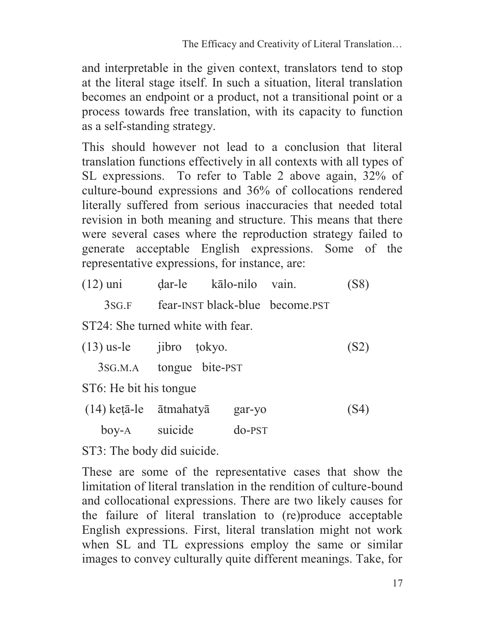and interpretable in the given context, translators tend to stop at the literal stage itself. In such a situation, literal translation becomes an endpoint or a product, not a transitional point or a process towards free translation, with its capacity to function as a self-standing strategy.

This should however not lead to a conclusion that literal translation functions effectively in all contexts with all types of SL expressions. To refer to Table 2 above again, 32% of culture-bound expressions and 36% of collocations rendered literally suffered from serious inaccuracies that needed total revision in both meaning and structure. This means that there were several cases where the reproduction strategy failed to generate acceptable English expressions. Some of the representative expressions, for instance, are:

| $(12)$ uni | dar-le | kālo-nilo vain. | (S8) |
|------------|--------|-----------------|------|
|            |        |                 |      |

3SG.F fear-INST black-blue become.PST

ST24: She turned white with fear.

| $(13)$ us-le |  | jibro tokyo. | (S2) |
|--------------|--|--------------|------|
|--------------|--|--------------|------|

3SG.M.A tongue bite-PST

ST6: He bit his tongue

| $(14)$ ketā-le ātmahatyā |         | gar-yo   | (S4) |
|--------------------------|---------|----------|------|
| $\overline{boy-A}$       | suicide | $do-PST$ |      |

ST3: The body did suicide.

These are some of the representative cases that show the limitation of literal translation in the rendition of culture-bound and collocational expressions. There are two likely causes for the failure of literal translation to (re)produce acceptable English expressions. First, literal translation might not work when SL and TL expressions employ the same or similar images to convey culturally quite different meanings. Take, for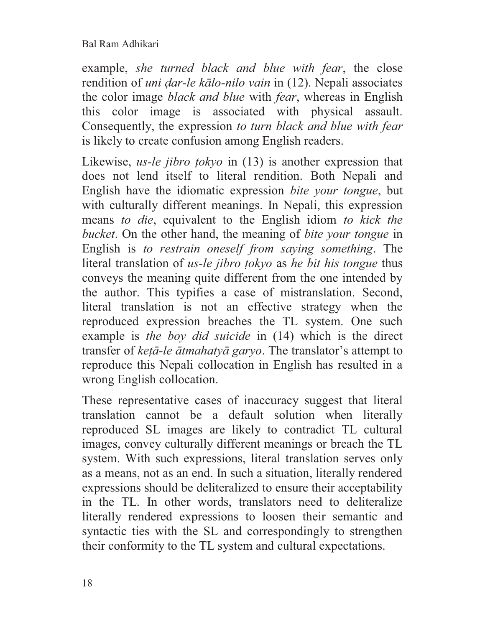example, *she turned black and blue with fear*, the close rendition of *uni ḍar-le kālo-nilo vain* in (12). Nepali associates the color image *black and blue* with *fear*, whereas in English this color image is associated with physical assault. Consequently, the expression *to turn black and blue with fear* is likely to create confusion among English readers.

Likewise, *us-le jibro ṭokyo* in (13) is another expression that does not lend itself to literal rendition. Both Nepali and English have the idiomatic expression *bite your tongue*, but with culturally different meanings. In Nepali, this expression means *to die*, equivalent to the English idiom *to kick the bucket*. On the other hand, the meaning of *bite your tongue* in English is *to restrain oneself from saying something*. The literal translation of *us-le jibro ṭokyo* as *he bit his tongue* thus conveys the meaning quite different from the one intended by the author. This typifies a case of mistranslation. Second, literal translation is not an effective strategy when the reproduced expression breaches the TL system. One such example is *the boy did suicide* in (14) which is the direct transfer of *keṭā-le ātmahatyā garyo*. The translator's attempt to reproduce this Nepali collocation in English has resulted in a wrong English collocation.

These representative cases of inaccuracy suggest that literal translation cannot be a default solution when literally reproduced SL images are likely to contradict TL cultural images, convey culturally different meanings or breach the TL system. With such expressions, literal translation serves only as a means, not as an end. In such a situation, literally rendered expressions should be deliteralized to ensure their acceptability in the TL. In other words, translators need to deliteralize literally rendered expressions to loosen their semantic and syntactic ties with the SL and correspondingly to strengthen their conformity to the TL system and cultural expectations.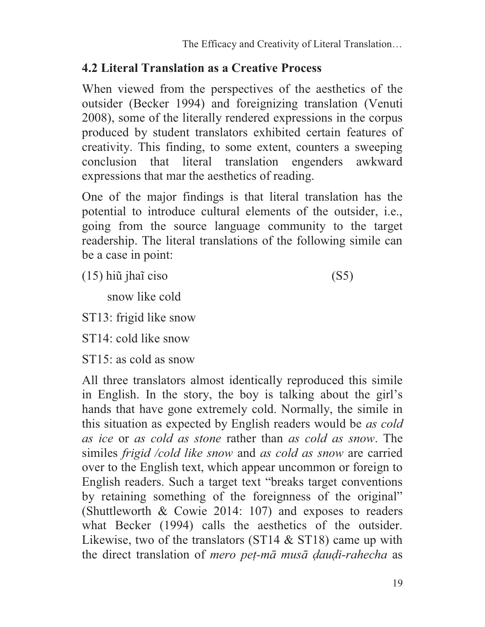## **4.2 Literal Translation as a Creative Process**

When viewed from the perspectives of the aesthetics of the outsider (Becker 1994) and foreignizing translation (Venuti 2008), some of the literally rendered expressions in the corpus produced by student translators exhibited certain features of creativity. This finding, to some extent, counters a sweeping conclusion that literal translation engenders awkward expressions that mar the aesthetics of reading.

One of the major findings is that literal translation has the potential to introduce cultural elements of the outsider, i.e., going from the source language community to the target readership. The literal translations of the following simile can be a case in point:

(15) hiũ jhaĩ ciso (S5)

snow like cold

ST13: frigid like snow

ST14: cold like snow

ST15: as cold as snow

All three translators almost identically reproduced this simile in English. In the story, the boy is talking about the girl's hands that have gone extremely cold. Normally, the simile in this situation as expected by English readers would be *as cold as ice* or *as cold as stone* rather than *as cold as snow*. The similes *frigid /cold like snow* and *as cold as snow* are carried over to the English text, which appear uncommon or foreign to English readers. Such a target text "breaks target conventions by retaining something of the foreignness of the original" (Shuttleworth & Cowie 2014: 107) and exposes to readers what Becker (1994) calls the aesthetics of the outsider. Likewise, two of the translators (ST14 & ST18) came up with the direct translation of *mero peṭ-mā musā ḍauḍi-rahecha* as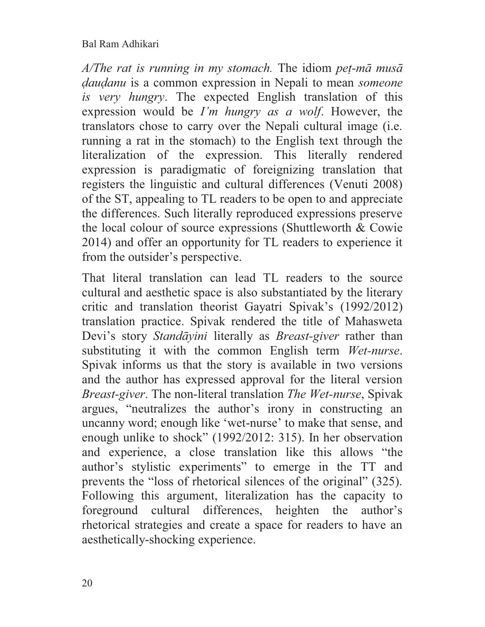*A/The rat is running in my stomach.* The idiom *peṭ-mā musā ḍauḍanu* is a common expression in Nepali to mean *someone is very hungry*. The expected English translation of this expression would be *I'm hungry as a wolf*. However, the translators chose to carry over the Nepali cultural image (i.e. running a rat in the stomach) to the English text through the literalization of the expression. This literally rendered expression is paradigmatic of foreignizing translation that registers the linguistic and cultural differences (Venuti 2008) of the ST, appealing to TL readers to be open to and appreciate the differences. Such literally reproduced expressions preserve the local colour of source expressions (Shuttleworth & Cowie 2014) and offer an opportunity for TL readers to experience it from the outsider's perspective.

That literal translation can lead TL readers to the source cultural and aesthetic space is also substantiated by the literary critic and translation theorist Gayatri Spivak's (1992/2012) translation practice. Spivak rendered the title of Mahasweta Devi's story *Standāyini* literally as *Breast-giver* rather than substituting it with the common English term *Wet-nurse*. Spivak informs us that the story is available in two versions and the author has expressed approval for the literal version *Breast-giver*. The non-literal translation *The Wet-nurse*, Spivak argues, "neutralizes the author's irony in constructing an uncanny word; enough like 'wet-nurse' to make that sense, and enough unlike to shock" (1992/2012: 315). In her observation and experience, a close translation like this allows "the author's stylistic experiments" to emerge in the TT and prevents the "loss of rhetorical silences of the original" (325). Following this argument, literalization has the capacity to foreground cultural differences, heighten the author's rhetorical strategies and create a space for readers to have an aesthetically-shocking experience.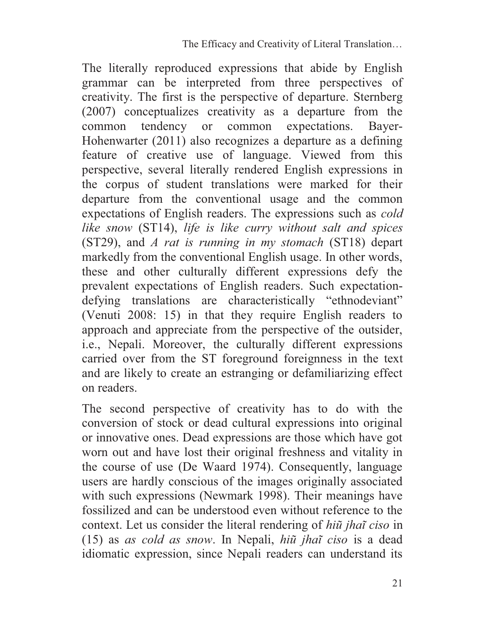The literally reproduced expressions that abide by English grammar can be interpreted from three perspectives of creativity. The first is the perspective of departure. Sternberg (2007) conceptualizes creativity as a departure from the common tendency or common expectations. Bayer-Hohenwarter (2011) also recognizes a departure as a defining feature of creative use of language. Viewed from this perspective, several literally rendered English expressions in the corpus of student translations were marked for their departure from the conventional usage and the common expectations of English readers. The expressions such as *cold like snow* (ST14), *life is like curry without salt and spices*  (ST29), and *A rat is running in my stomach* (ST18) depart markedly from the conventional English usage. In other words, these and other culturally different expressions defy the prevalent expectations of English readers. Such expectationdefying translations are characteristically "ethnodeviant" (Venuti 2008: 15) in that they require English readers to approach and appreciate from the perspective of the outsider, i.e., Nepali. Moreover, the culturally different expressions carried over from the ST foreground foreignness in the text and are likely to create an estranging or defamiliarizing effect on readers.

The second perspective of creativity has to do with the conversion of stock or dead cultural expressions into original or innovative ones. Dead expressions are those which have got worn out and have lost their original freshness and vitality in the course of use (De Waard 1974). Consequently, language users are hardly conscious of the images originally associated with such expressions (Newmark 1998). Their meanings have fossilized and can be understood even without reference to the context. Let us consider the literal rendering of *hiũ jhaĩ ciso* in (15) as *as cold as snow*. In Nepali, *hiũ jhaĩ ciso* is a dead idiomatic expression, since Nepali readers can understand its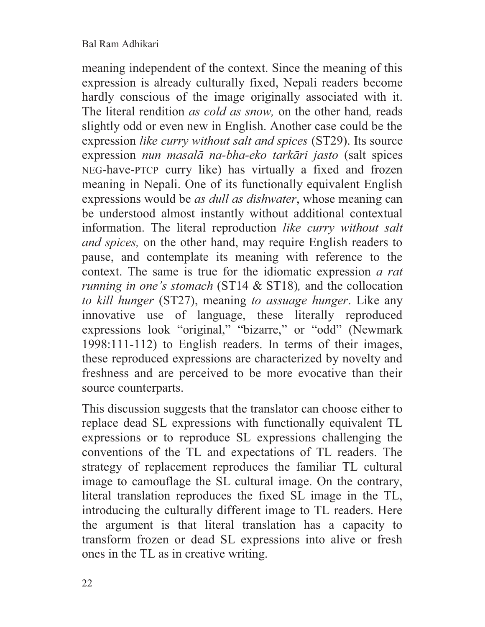meaning independent of the context. Since the meaning of this expression is already culturally fixed, Nepali readers become hardly conscious of the image originally associated with it. The literal rendition *as cold as snow,* on the other hand*,* reads slightly odd or even new in English. Another case could be the expression *like curry without salt and spices* (ST29). Its source expression *nun masalā na-bha-eko tarkāri jasto* (salt spices NEG-have-PTCP curry like) has virtually a fixed and frozen meaning in Nepali. One of its functionally equivalent English expressions would be *as dull as dishwater*, whose meaning can be understood almost instantly without additional contextual information. The literal reproduction *like curry without salt and spices,* on the other hand, may require English readers to pause, and contemplate its meaning with reference to the context. The same is true for the idiomatic expression *a rat running in one's stomach* (ST14 & ST18), and the collocation *to kill hunger* (ST27), meaning *to assuage hunger*. Like any innovative use of language, these literally reproduced expressions look "original," "bizarre," or "odd" (Newmark 1998:111-112) to English readers. In terms of their images, these reproduced expressions are characterized by novelty and freshness and are perceived to be more evocative than their source counterparts.

This discussion suggests that the translator can choose either to replace dead SL expressions with functionally equivalent TL expressions or to reproduce SL expressions challenging the conventions of the TL and expectations of TL readers. The strategy of replacement reproduces the familiar TL cultural image to camouflage the SL cultural image. On the contrary, literal translation reproduces the fixed SL image in the TL, introducing the culturally different image to TL readers. Here the argument is that literal translation has a capacity to transform frozen or dead SL expressions into alive or fresh ones in the TL as in creative writing.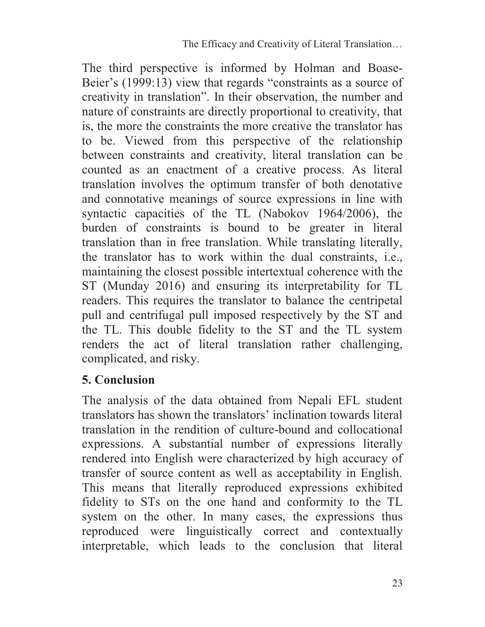The third perspective is informed by Holman and Boase-Beier's (1999:13) view that regards "constraints as a source of creativity in translation". In their observation, the number and nature of constraints are directly proportional to creativity, that is, the more the constraints the more creative the translator has to be. Viewed from this perspective of the relationship between constraints and creativity, literal translation can be counted as an enactment of a creative process. As literal translation involves the optimum transfer of both denotative and connotative meanings of source expressions in line with syntactic capacities of the TL (Nabokov 1964/2006), the burden of constraints is bound to be greater in literal translation than in free translation. While translating literally, the translator has to work within the dual constraints, i.e., maintaining the closest possible intertextual coherence with the ST (Munday 2016) and ensuring its interpretability for TL readers. This requires the translator to balance the centripetal pull and centrifugal pull imposed respectively by the ST and the TL. This double fidelity to the ST and the TL system renders the act of literal translation rather challenging, complicated, and risky.

## **5. Conclusion**

The analysis of the data obtained from Nepali EFL student translators has shown the translators' inclination towards literal translation in the rendition of culture-bound and collocational expressions. A substantial number of expressions literally rendered into English were characterized by high accuracy of transfer of source content as well as acceptability in English. This means that literally reproduced expressions exhibited fidelity to STs on the one hand and conformity to the TL system on the other. In many cases, the expressions thus reproduced were linguistically correct and contextually interpretable, which leads to the conclusion that literal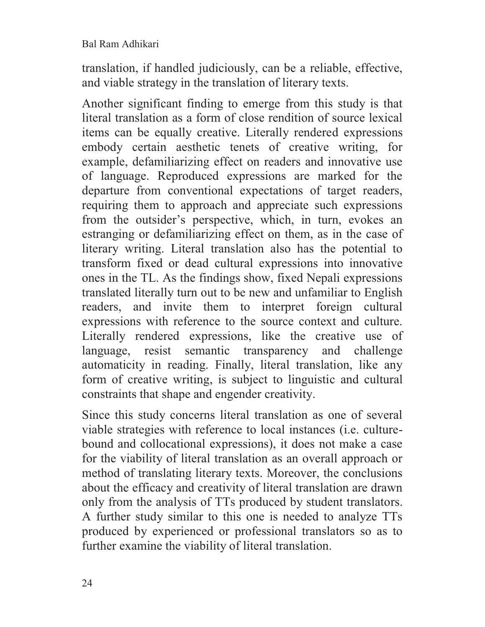translation, if handled judiciously, can be a reliable, effective, and viable strategy in the translation of literary texts.

Another significant finding to emerge from this study is that literal translation as a form of close rendition of source lexical items can be equally creative. Literally rendered expressions embody certain aesthetic tenets of creative writing, for example, defamiliarizing effect on readers and innovative use of language. Reproduced expressions are marked for the departure from conventional expectations of target readers, requiring them to approach and appreciate such expressions from the outsider's perspective, which, in turn, evokes an estranging or defamiliarizing effect on them, as in the case of literary writing. Literal translation also has the potential to transform fixed or dead cultural expressions into innovative ones in the TL. As the findings show, fixed Nepali expressions translated literally turn out to be new and unfamiliar to English readers, and invite them to interpret foreign cultural expressions with reference to the source context and culture. Literally rendered expressions, like the creative use of language, resist semantic transparency and challenge automaticity in reading. Finally, literal translation, like any form of creative writing, is subject to linguistic and cultural constraints that shape and engender creativity.

Since this study concerns literal translation as one of several viable strategies with reference to local instances (i.e. culturebound and collocational expressions), it does not make a case for the viability of literal translation as an overall approach or method of translating literary texts. Moreover, the conclusions about the efficacy and creativity of literal translation are drawn only from the analysis of TTs produced by student translators. A further study similar to this one is needed to analyze TTs produced by experienced or professional translators so as to further examine the viability of literal translation.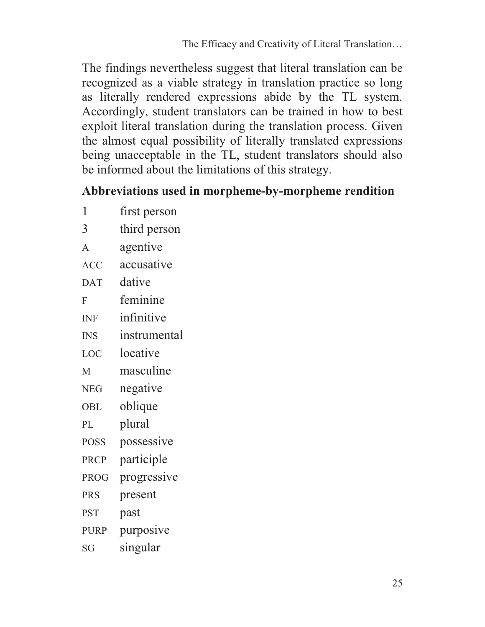The findings nevertheless suggest that literal translation can be recognized as a viable strategy in translation practice so long as literally rendered expressions abide by the TL system. Accordingly, student translators can be trained in how to best exploit literal translation during the translation process. Given the almost equal possibility of literally translated expressions being unacceptable in the TL, student translators should also be informed about the limitations of this strategy.

#### **Abbreviations used in morpheme-by-morpheme rendition**

- 1 first person 3 third person A agentive
- ACC accusative
- DAT dative
- F feminine
- INF infinitive
- INS instrumental
- LOC locative
- M masculine
- NEG negative
- OBL oblique
- PL plural
- POSS possessive
- PRCP participle
- PROG progressive
- PRS present
- PST past
- PURP purposive
- SG singular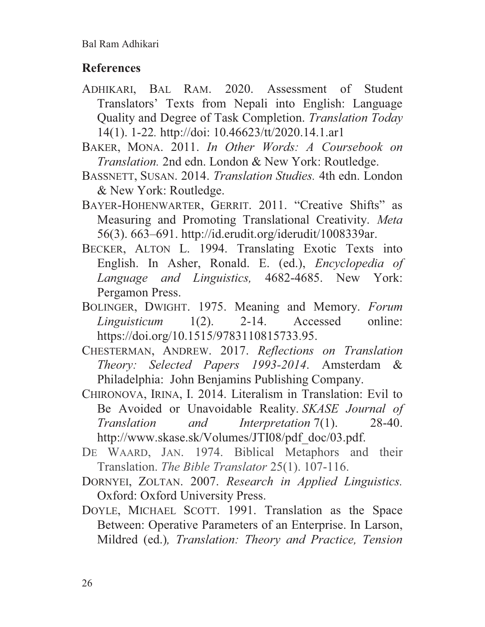# **References**

- ADHIKARI, BAL RAM. 2020. Assessment of Student Translators' Texts from Nepali into English: Language Quality and Degree of Task Completion. *Translation Today* 14(1). 1-22*.* http://doi: 10.46623/tt/2020.14.1.ar1
- BAKER, MONA. 2011. *In Other Words: A Coursebook on Translation.* 2nd edn. London & New York: Routledge.
- BASSNETT, SUSAN. 2014. *Translation Studies.* 4th edn. London & New York: Routledge.
- BAYER-HOHENWARTER, GERRIT. 2011. "Creative Shifts" as Measuring and Promoting Translational Creativity. *Meta* 56(3). 663–691. http://id.erudit.org/iderudit/1008339ar.
- BECKER, ALTON L. 1994. Translating Exotic Texts into English. In Asher, Ronald. E. (ed.), *Encyclopedia of Language and Linguistics,* 4682-4685. New York: Pergamon Press.
- BOLINGER, DWIGHT. 1975. Meaning and Memory. *Forum Linguisticum* 1(2). 2-14. Accessed online: https://doi.org/10.1515/9783110815733.95.
- CHESTERMAN, ANDREW. 2017. *Reflections on Translation Theory: Selected Papers 1993-2014*. Amsterdam & Philadelphia: John Benjamins Publishing Company.
- CHIRONOVA, IRINA, I. 2014. Literalism in Translation: Evil to Be Avoided or Unavoidable Reality. *SKASE Journal of Translation and Interpretation* 7(1). 28-40. http://www.skase.sk/Volumes/JTI08/pdf\_doc/03.pdf.
- DE WAARD, JAN. 1974. Biblical Metaphors and their Translation. *The Bible Translator* 25(1). 107-116.
- DORNYEI, ZOLTAN. 2007. *Research in Applied Linguistics.* Oxford: Oxford University Press.
- DOYLE, MICHAEL SCOTT. 1991. Translation as the Space Between: Operative Parameters of an Enterprise. In Larson, Mildred (ed.)*, Translation: Theory and Practice, Tension*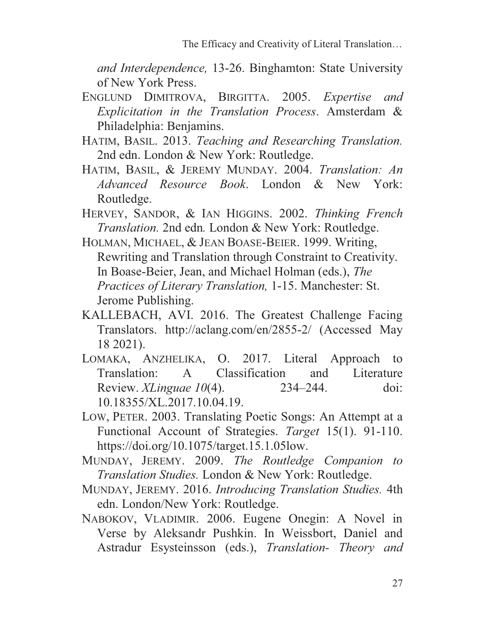*and Interdependence,* 13-26. Binghamton: State University of New York Press.

- ENGLUND DIMITROVA, BIRGITTA. 2005. *Expertise and Explicitation in the Translation Process*. Amsterdam & Philadelphia: Benjamins.
- HATIM, BASIL. 2013. *Teaching and Researching Translation.*  2nd edn. London & New York: Routledge.
- HATIM, BASIL, & JEREMY MUNDAY. 2004. *Translation: An Advanced Resource Book*. London & New York: Routledge.
- HERVEY, SANDOR, & IAN HIGGINS. 2002. *Thinking French Translation.* 2nd edn*.* London & New York: Routledge.
- HOLMAN, MICHAEL, & JEAN BOASE-BEIER. 1999. Writing, Rewriting and Translation through Constraint to Creativity. In Boase-Beier, Jean, and Michael Holman (eds.), *The Practices of Literary Translation,* 1-15. Manchester: St. Jerome Publishing.
- KALLEBACH, AVI. 2016. The Greatest Challenge Facing Translators. http://aclang.com/en/2855-2/ (Accessed May 18 2021).
- LOMAKA, ANZHELIKA, O. 2017. Literal Approach to Translation: A Classification and Literature Review. *XLinguae 10*(4). 234–244. doi: 10.18355/XL.2017.10.04.19.
- LOW, PETER. 2003. Translating Poetic Songs: An Attempt at a Functional Account of Strategies. *Target* 15(1). 91-110. https://doi.org/10.1075/target.15.1.05low.
- MUNDAY, JEREMY. 2009. *The Routledge Companion to Translation Studies.* London & New York: Routledge.
- MUNDAY, JEREMY. 2016. *Introducing Translation Studies.* 4th edn. London/New York: Routledge.
- NABOKOV, VLADIMIR. 2006. Eugene Onegin: A Novel in Verse by Aleksandr Pushkin. In Weissbort, Daniel and Astradur Esysteinsson (eds.), *Translation- Theory and*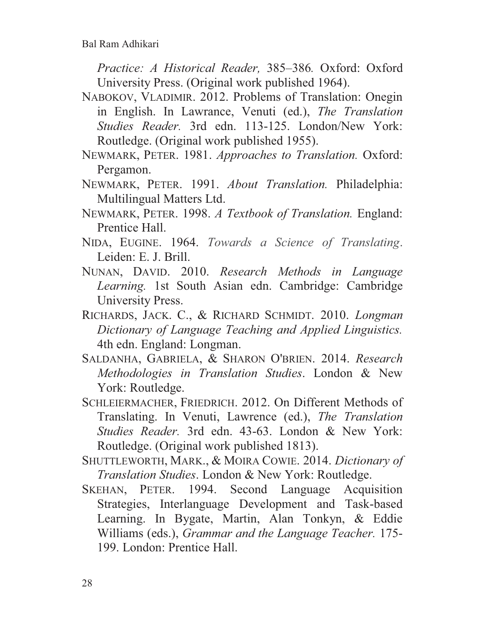*Practice: A Historical Reader,* 385–386*.* Oxford: Oxford University Press. (Original work published 1964).

- NABOKOV, VLADIMIR. 2012. Problems of Translation: Onegin in English. In Lawrance, Venuti (ed.), *The Translation Studies Reader.* 3rd edn. 113-125. London/New York: Routledge. (Original work published 1955).
- NEWMARK, PETER. 1981. *Approaches to Translation.* Oxford: Pergamon.
- NEWMARK, PETER. 1991. *About Translation.* Philadelphia: Multilingual Matters Ltd.
- NEWMARK, PETER. 1998. *A Textbook of Translation.* England: Prentice Hall.
- NIDA, EUGINE. 1964. *Towards a Science of Translating*. Leiden: E. J. Brill.
- NUNAN, DAVID. 2010. *Research Methods in Language Learning.* 1st South Asian edn. Cambridge: Cambridge University Press.
- RICHARDS, JACK. C., & RICHARD SCHMIDT. 2010. *Longman Dictionary of Language Teaching and Applied Linguistics.* 4th edn. England: Longman.
- SALDANHA, GABRIELA, & SHARON O'BRIEN. 2014. *Research Methodologies in Translation Studies*. London & New York: Routledge.
- SCHLEIERMACHER, FRIEDRICH. 2012. On Different Methods of Translating. In Venuti, Lawrence (ed.), *The Translation Studies Reader.* 3rd edn. 43-63. London & New York: Routledge. (Original work published 1813).
- SHUTTLEWORTH, MARK., & MOIRA COWIE. 2014. *Dictionary of Translation Studies*. London & New York: Routledge.
- SKEHAN, PETER. 1994. Second Language Acquisition Strategies, Interlanguage Development and Task-based Learning. In Bygate, Martin, Alan Tonkyn, & Eddie Williams (eds.), *Grammar and the Language Teacher.* 175- 199. London: Prentice Hall.